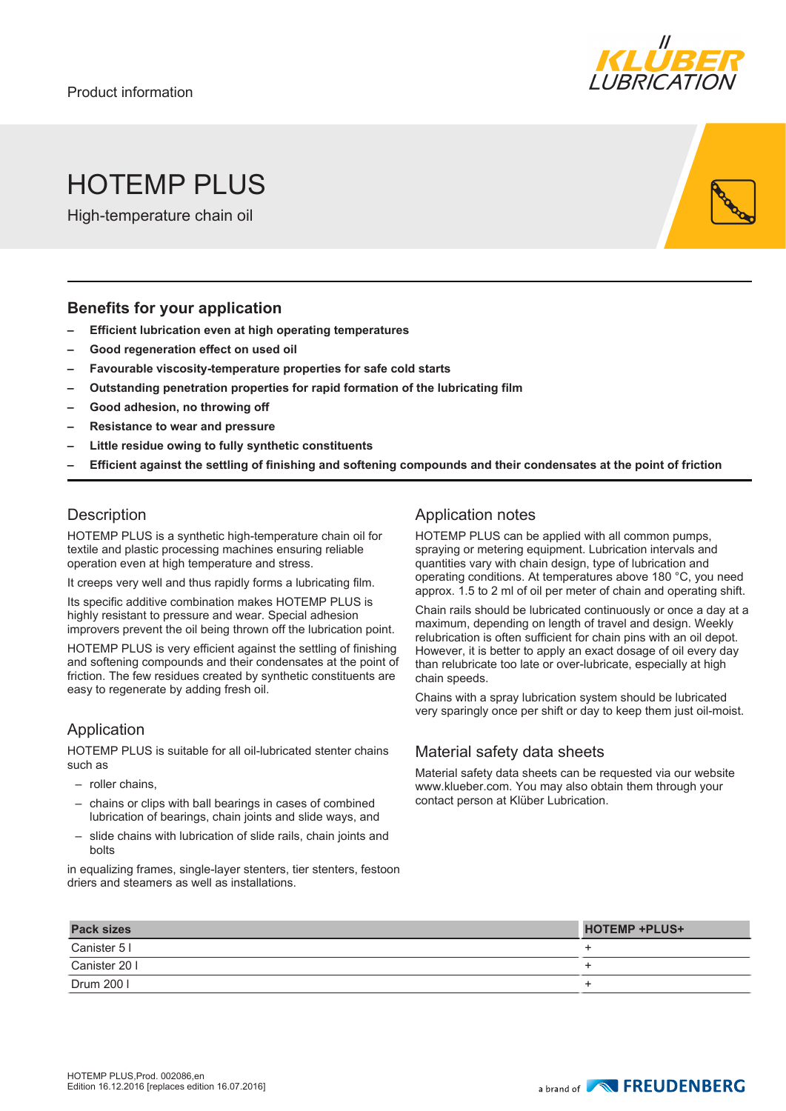

# HOTFMP PI US

High-temperature chain oil

#### **Benefits for your application**

- **– Efficient lubrication even at high operating temperatures**
- **– Good regeneration effect on used oil**
- **– Favourable viscosity-temperature properties for safe cold starts**
- **– Outstanding penetration properties for rapid formation of the lubricating film**
- **– Good adhesion, no throwing off**
- **– Resistance to wear and pressure**
- **– Little residue owing to fully synthetic constituents**
- **– Efficient against the settling of finishing and softening compounds and their condensates at the point of friction**

#### **Description**

HOTEMP PLUS is a synthetic high-temperature chain oil for textile and plastic processing machines ensuring reliable operation even at high temperature and stress.

It creeps very well and thus rapidly forms a lubricating film.

Its specific additive combination makes HOTEMP PLUS is highly resistant to pressure and wear. Special adhesion improvers prevent the oil being thrown off the lubrication point.

HOTEMP PLUS is very efficient against the settling of finishing and softening compounds and their condensates at the point of friction. The few residues created by synthetic constituents are easy to regenerate by adding fresh oil.

#### Application

HOTEMP PLUS is suitable for all oil-lubricated stenter chains such as

- roller chains,
- chains or clips with ball bearings in cases of combined lubrication of bearings, chain joints and slide ways, and
- slide chains with lubrication of slide rails, chain joints and bolts

in equalizing frames, single-layer stenters, tier stenters, festoon driers and steamers as well as installations.

### Application notes

HOTEMP PLUS can be applied with all common pumps, spraying or metering equipment. Lubrication intervals and quantities vary with chain design, type of lubrication and operating conditions. At temperatures above 180 °C, you need approx. 1.5 to 2 ml of oil per meter of chain and operating shift.

Chain rails should be lubricated continuously or once a day at a maximum, depending on length of travel and design. Weekly relubrication is often sufficient for chain pins with an oil depot. However, it is better to apply an exact dosage of oil every day than relubricate too late or over-lubricate, especially at high chain speeds.

Chains with a spray lubrication system should be lubricated very sparingly once per shift or day to keep them just oil-moist.

#### Material safety data sheets

Material safety data sheets can be requested via our website www.klueber.com. You may also obtain them through your contact person at Klüber Lubrication.

| <b>Pack sizes</b> | <b>HOTEMP +PLUS+</b> |
|-------------------|----------------------|
| Canister 5 I      |                      |
| Canister 20 I     |                      |
| Drum 200          |                      |